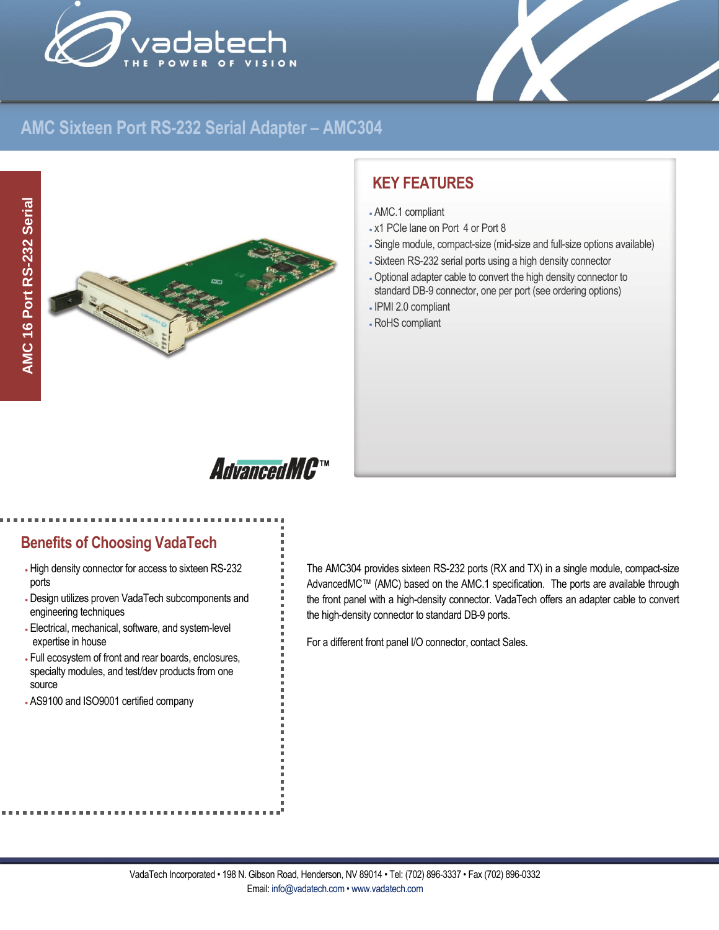



## **AMC Sixteen Port RS-232 Serial Adapter – AMC304**



# **KEY FEATURES**

- AMC.1 compliant
- x1 PCIe lane on Port 4 or Port 8
- Single module, compact-size (mid-size and full-size options available)
- Sixteen RS-232 serial ports using a high density connector
- Optional adapter cable to convert the high density connector to standard DB-9 connector, one per port (see ordering options)
- IPMI 2.0 compliant
- RoHS compliant

**AdvancedMC**TM

### **Benefits of Choosing VadaTech**

- High density connector for access to sixteen RS-232 ports
- Design utilizes proven VadaTech subcomponents and engineering techniques
- Electrical, mechanical, software, and system-level expertise in house
- Full ecosystem of front and rear boards, enclosures, specialty modules, and test/dev products from one source
- AS9100 and ISO9001 certified company

The AMC304 provides sixteen RS-232 ports (RX and TX) in a single module, compact-size AdvancedMC™ (AMC) based on the AMC.1 specification. The ports are available through the front panel with a high-density connector. VadaTech offers an adapter cable to convert the high-density connector to standard DB-9 ports.

For a different front panel I/O connector, contact Sales.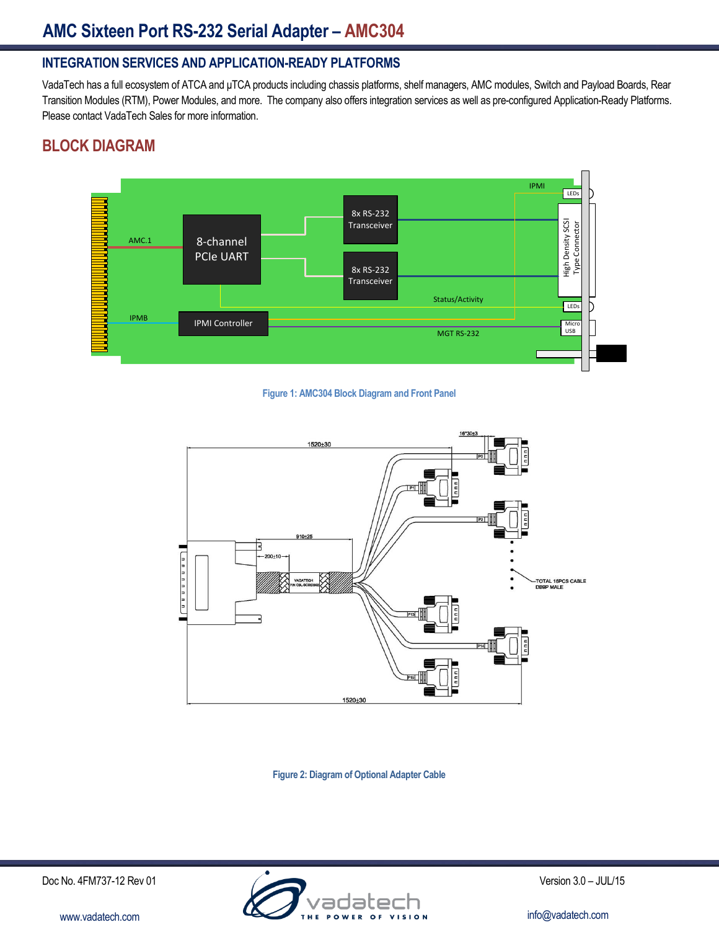### **INTEGRATION SERVICES AND APPLICATION-READY PLATFORMS**

VadaTech has a full ecosystem of ATCA and μTCA products including chassis platforms, shelf managers, AMC modules, Switch and Payload Boards, Rear Transition Modules (RTM), Power Modules, and more. The company also offers integration services as well as pre-configured Application-Ready Platforms. Please contact VadaTech Sales for more information.

### **BLOCK DIAGRAM**



#### **Figure 1: AMC304 Block Diagram and Front Panel**



**Figure 2: Diagram of Optional Adapter Cable**

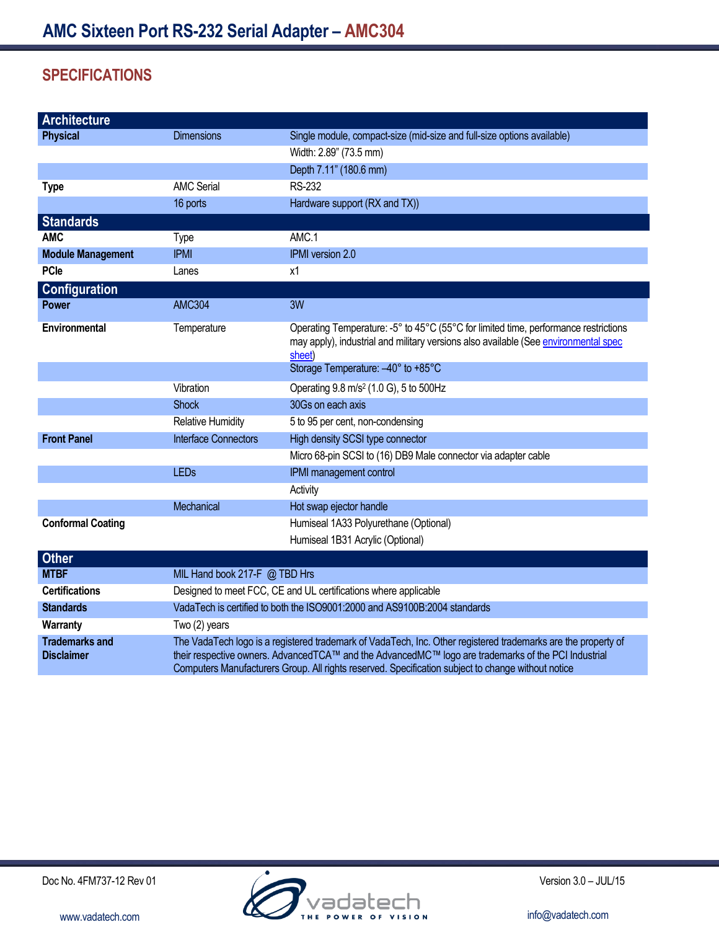# **SPECIFICATIONS**

| Architecture                               |                                                                                                                                                                                                                                                                                                                            |                                                                                                                                                                                      |
|--------------------------------------------|----------------------------------------------------------------------------------------------------------------------------------------------------------------------------------------------------------------------------------------------------------------------------------------------------------------------------|--------------------------------------------------------------------------------------------------------------------------------------------------------------------------------------|
| <b>Physical</b>                            | <b>Dimensions</b>                                                                                                                                                                                                                                                                                                          | Single module, compact-size (mid-size and full-size options available)                                                                                                               |
|                                            |                                                                                                                                                                                                                                                                                                                            | Width: 2.89" (73.5 mm)                                                                                                                                                               |
|                                            |                                                                                                                                                                                                                                                                                                                            | Depth 7.11" (180.6 mm)                                                                                                                                                               |
| <b>Type</b>                                | <b>AMC Serial</b>                                                                                                                                                                                                                                                                                                          | <b>RS-232</b>                                                                                                                                                                        |
|                                            | 16 ports                                                                                                                                                                                                                                                                                                                   | Hardware support (RX and TX))                                                                                                                                                        |
| <b>Standards</b>                           |                                                                                                                                                                                                                                                                                                                            |                                                                                                                                                                                      |
| <b>AMC</b>                                 | Type                                                                                                                                                                                                                                                                                                                       | AMC.1                                                                                                                                                                                |
| <b>Module Management</b>                   | <b>IPMI</b>                                                                                                                                                                                                                                                                                                                | IPMI version 2.0                                                                                                                                                                     |
| <b>PCle</b>                                | Lanes                                                                                                                                                                                                                                                                                                                      | х1                                                                                                                                                                                   |
| <b>Configuration</b>                       |                                                                                                                                                                                                                                                                                                                            |                                                                                                                                                                                      |
| Power                                      | <b>AMC304</b>                                                                                                                                                                                                                                                                                                              | 3W                                                                                                                                                                                   |
| Environmental                              | Temperature                                                                                                                                                                                                                                                                                                                | Operating Temperature: -5° to 45°C (55°C for limited time, performance restrictions<br>may apply), industrial and military versions also available (See environmental spec<br>sheet) |
|                                            |                                                                                                                                                                                                                                                                                                                            | Storage Temperature: -40° to +85°C                                                                                                                                                   |
|                                            | Vibration                                                                                                                                                                                                                                                                                                                  | Operating 9.8 m/s <sup>2</sup> (1.0 G), 5 to 500Hz                                                                                                                                   |
|                                            | Shock                                                                                                                                                                                                                                                                                                                      | 30Gs on each axis                                                                                                                                                                    |
|                                            | Relative Humidity                                                                                                                                                                                                                                                                                                          | 5 to 95 per cent, non-condensing                                                                                                                                                     |
| <b>Front Panel</b>                         | <b>Interface Connectors</b>                                                                                                                                                                                                                                                                                                | High density SCSI type connector                                                                                                                                                     |
|                                            |                                                                                                                                                                                                                                                                                                                            | Micro 68-pin SCSI to (16) DB9 Male connector via adapter cable                                                                                                                       |
|                                            | <b>LEDs</b>                                                                                                                                                                                                                                                                                                                | IPMI management control                                                                                                                                                              |
|                                            |                                                                                                                                                                                                                                                                                                                            | Activity                                                                                                                                                                             |
|                                            | Mechanical                                                                                                                                                                                                                                                                                                                 | Hot swap ejector handle                                                                                                                                                              |
| <b>Conformal Coating</b>                   |                                                                                                                                                                                                                                                                                                                            | Humiseal 1A33 Polyurethane (Optional)                                                                                                                                                |
|                                            |                                                                                                                                                                                                                                                                                                                            | Humiseal 1B31 Acrylic (Optional)                                                                                                                                                     |
| <b>Other</b>                               |                                                                                                                                                                                                                                                                                                                            |                                                                                                                                                                                      |
| <b>MTBF</b>                                | MIL Hand book 217-F @ TBD Hrs                                                                                                                                                                                                                                                                                              |                                                                                                                                                                                      |
| <b>Certifications</b>                      | Designed to meet FCC, CE and UL certifications where applicable                                                                                                                                                                                                                                                            |                                                                                                                                                                                      |
| <b>Standards</b>                           | VadaTech is certified to both the ISO9001:2000 and AS9100B:2004 standards                                                                                                                                                                                                                                                  |                                                                                                                                                                                      |
| Warranty                                   | Two (2) years                                                                                                                                                                                                                                                                                                              |                                                                                                                                                                                      |
| <b>Trademarks and</b><br><b>Disclaimer</b> | The VadaTech logo is a registered trademark of VadaTech, Inc. Other registered trademarks are the property of<br>their respective owners. AdvancedTCA™ and the AdvancedMC™ logo are trademarks of the PCI Industrial<br>Computers Manufacturers Group. All rights reserved. Specification subject to change without notice |                                                                                                                                                                                      |